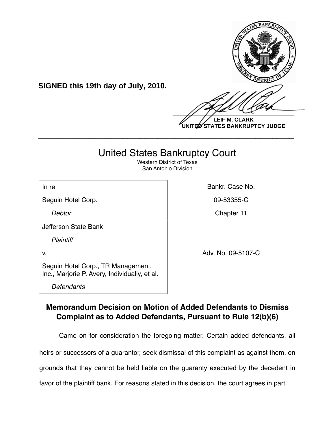

**LEIF M. CLARK UNITED STATES BANKRUPTCY JUDGE**

## United States Bankruptcy Court

**\_\_\_\_\_\_\_\_\_\_\_\_\_\_\_\_\_\_\_\_\_\_\_\_\_\_\_\_\_\_\_\_\_\_\_\_\_\_\_\_\_\_\_\_\_\_\_\_\_\_\_\_\_\_\_\_\_\_\_\_**

Western District of Texas San Antonio Division

In re **Bankr. Case No. In the Bankr. Case No.** 

Seguin Hotel Corp. **09-53355-C** 

*Debtor* Chapter 11

Jefferson State Bank

*Plaintiff*

v. 2002. Adv. No. 09-5107-C

Seguin Hotel Corp., TR Management, Inc., Marjorie P. Avery, Individually, et al.

**SIGNED this 19th day of July, 2010.**

*Defendants*

**Memorandum Decision on Motion of Added Defendants to Dismiss Complaint as to Added Defendants, Pursuant to Rule 12(b)(6)**

Came on for consideration the foregoing matter. Certain added defendants, all

heirs or successors of a guarantor, seek dismissal of this complaint as against them, on

grounds that they cannot be held liable on the guaranty executed by the decedent in

favor of the plaintiff bank. For reasons stated in this decision, the court agrees in part.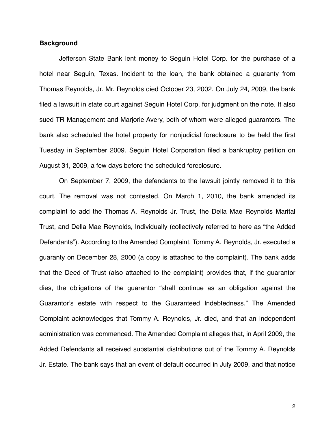## **Background**

Jefferson State Bank lent money to Seguin Hotel Corp. for the purchase of a hotel near Seguin, Texas. Incident to the loan, the bank obtained a guaranty from Thomas Reynolds, Jr. Mr. Reynolds died October 23, 2002. On July 24, 2009, the bank filed a lawsuit in state court against Seguin Hotel Corp. for judgment on the note. It also sued TR Management and Marjorie Avery, both of whom were alleged guarantors. The bank also scheduled the hotel property for nonjudicial foreclosure to be held the first Tuesday in September 2009. Seguin Hotel Corporation filed a bankruptcy petition on August 31, 2009, a few days before the scheduled foreclosure.

On September 7, 2009, the defendants to the lawsuit jointly removed it to this court. The removal was not contested. On March 1, 2010, the bank amended its complaint to add the Thomas A. Reynolds Jr. Trust, the Della Mae Reynolds Marital Trust, and Della Mae Reynolds, Individually (collectively referred to here as "the Added Defendants"). According to the Amended Complaint, Tommy A. Reynolds, Jr. executed a guaranty on December 28, 2000 (a copy is attached to the complaint). The bank adds that the Deed of Trust (also attached to the complaint) provides that, if the guarantor dies, the obligations of the guarantor "shall continue as an obligation against the Guarantor's estate with respect to the Guaranteed Indebtedness." The Amended Complaint acknowledges that Tommy A. Reynolds, Jr. died, and that an independent administration was commenced. The Amended Complaint alleges that, in April 2009, the Added Defendants all received substantial distributions out of the Tommy A. Reynolds Jr. Estate. The bank says that an event of default occurred in July 2009, and that notice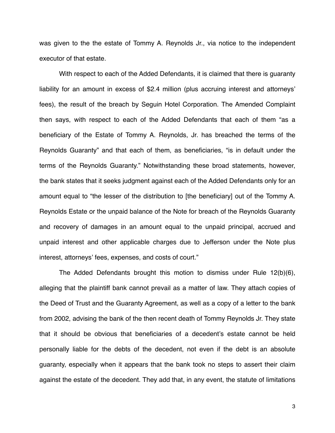was given to the the estate of Tommy A. Reynolds Jr., via notice to the independent executor of that estate.

With respect to each of the Added Defendants, it is claimed that there is guaranty liability for an amount in excess of \$2.4 million (plus accruing interest and attorneys' fees), the result of the breach by Seguin Hotel Corporation. The Amended Complaint then says, with respect to each of the Added Defendants that each of them "as a beneficiary of the Estate of Tommy A. Reynolds, Jr. has breached the terms of the Reynolds Guaranty" and that each of them, as beneficiaries, "is in default under the terms of the Reynolds Guaranty." Notwithstanding these broad statements, however, the bank states that it seeks judgment against each of the Added Defendants only for an amount equal to "the lesser of the distribution to [the beneficiary] out of the Tommy A. Reynolds Estate or the unpaid balance of the Note for breach of the Reynolds Guaranty and recovery of damages in an amount equal to the unpaid principal, accrued and unpaid interest and other applicable charges due to Jefferson under the Note plus interest, attorneys' fees, expenses, and costs of court."

The Added Defendants brought this motion to dismiss under Rule 12(b)(6), alleging that the plaintiff bank cannot prevail as a matter of law. They attach copies of the Deed of Trust and the Guaranty Agreement, as well as a copy of a letter to the bank from 2002, advising the bank of the then recent death of Tommy Reynolds Jr. They state that it should be obvious that beneficiaries of a decedent's estate cannot be held personally liable for the debts of the decedent, not even if the debt is an absolute guaranty, especially when it appears that the bank took no steps to assert their claim against the estate of the decedent. They add that, in any event, the statute of limitations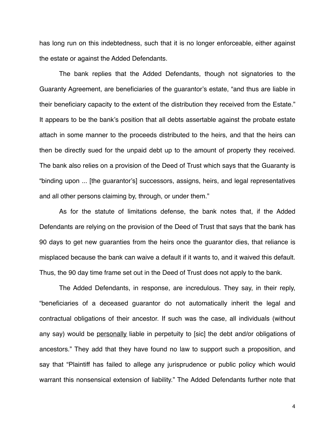has long run on this indebtedness, such that it is no longer enforceable, either against the estate or against the Added Defendants.

The bank replies that the Added Defendants, though not signatories to the Guaranty Agreement, are beneficiaries of the guarantor's estate, "and thus are liable in their beneficiary capacity to the extent of the distribution they received from the Estate." It appears to be the bank's position that all debts assertable against the probate estate attach in some manner to the proceeds distributed to the heirs, and that the heirs can then be directly sued for the unpaid debt up to the amount of property they received. The bank also relies on a provision of the Deed of Trust which says that the Guaranty is "binding upon ... [the guarantor's] successors, assigns, heirs, and legal representatives and all other persons claiming by, through, or under them."

As for the statute of limitations defense, the bank notes that, if the Added Defendants are relying on the provision of the Deed of Trust that says that the bank has 90 days to get new guaranties from the heirs once the guarantor dies, that reliance is misplaced because the bank can waive a default if it wants to, and it waived this default. Thus, the 90 day time frame set out in the Deed of Trust does not apply to the bank.

The Added Defendants, in response, are incredulous. They say, in their reply, "beneficiaries of a deceased guarantor do not automatically inherit the legal and contractual obligations of their ancestor. If such was the case, all individuals (without any say) would be personally liable in perpetuity to [sic] the debt and/or obligations of ancestors." They add that they have found no law to support such a proposition, and say that "Plaintiff has failed to allege any jurisprudence or public policy which would warrant this nonsensical extension of liability." The Added Defendants further note that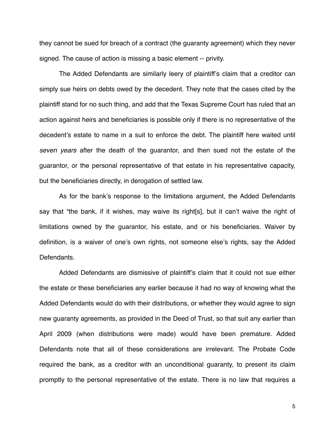they cannot be sued for breach of a contract (the guaranty agreement) which they never signed. The cause of action is missing a basic element -- privity.

The Added Defendants are similarly leery of plaintiff's claim that a creditor can simply sue heirs on debts owed by the decedent. They note that the cases cited by the plaintiff stand for no such thing, and add that the Texas Supreme Court has ruled that an action against heirs and beneficiaries is possible only if there is no representative of the decedent's estate to name in a suit to enforce the debt. The plaintiff here waited until *seven years* after the death of the guarantor, and then sued not the estate of the guarantor, or the personal representative of that estate in his representative capacity, but the beneficiaries directly, in derogation of settled law.

As for the bank's response to the limitations argument, the Added Defendants say that "the bank, if it wishes, may waive its right[s], but it can't waive the right of limitations owned by the guarantor, his estate, and or his beneficiaries. Waiver by definition, is a waiver of one's own rights, not someone else's rights, say the Added Defendants.

Added Defendants are dismissive of plaintiff's claim that it could not sue either the estate or these beneficiaries any earlier because it had no way of knowing what the Added Defendants would do with their distributions, or whether they would agree to sign new guaranty agreements, as provided in the Deed of Trust, so that suit any earlier than April 2009 (when distributions were made) would have been premature. Added Defendants note that all of these considerations are irrelevant. The Probate Code required the bank, as a creditor with an unconditional guaranty, to present its claim promptly to the personal representative of the estate. There is no law that requires a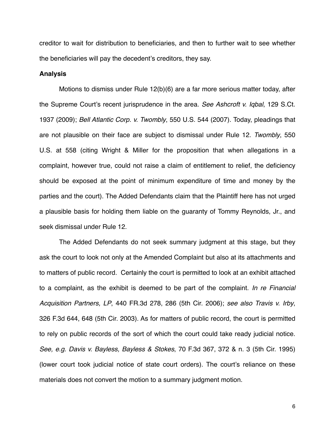creditor to wait for distribution to beneficiaries, and then to further wait to see whether the beneficiaries will pay the decedent's creditors, they say.

## **Analysis**

Motions to dismiss under Rule 12(b)(6) are a far more serious matter today, after the Supreme Court's recent jurisprudence in the area. *See Ashcroft v. Iqbal*, 129 S.Ct. 1937 (2009); *Bell Atlantic Corp. v. Twombly*, 550 U.S. 544 (2007). Today, pleadings that are not plausible on their face are subject to dismissal under Rule 12. *Twombly*, 550 U.S. at 558 (citing Wright & Miller for the proposition that when allegations in a complaint, however true, could not raise a claim of entitlement to relief, the deficiency should be exposed at the point of minimum expenditure of time and money by the parties and the court). The Added Defendants claim that the Plaintiff here has not urged a plausible basis for holding them liable on the guaranty of Tommy Reynolds, Jr., and seek dismissal under Rule 12.

The Added Defendants do not seek summary judgment at this stage, but they ask the court to look not only at the Amended Complaint but also at its attachments and to matters of public record. Certainly the court is permitted to look at an exhibit attached to a complaint, as the exhibit is deemed to be part of the complaint. *In re Financial Acquisition Partners, LP*, 440 FR.3d 278, 286 (5th Cir. 2006); *see also Travis v. Irby*, 326 F.3d 644, 648 (5th Cir. 2003). As for matters of public record, the court is permitted to rely on public records of the sort of which the court could take ready judicial notice. *See, e.g. Davis v. Bayless, Bayless & Stokes*, 70 F.3d 367, 372 & n. 3 (5th Cir. 1995) (lower court took judicial notice of state court orders). The court's reliance on these materials does not convert the motion to a summary judgment motion.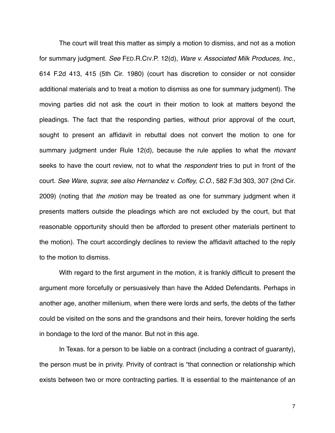The court will treat this matter as simply a motion to dismiss, and not as a motion for summary judgment. *See* FED.R.CIV.P. 12(d), *Ware v. Associated Milk Produces, Inc.,*  614 F.2d 413, 415 (5th Cir. 1980) (court has discretion to consider or not consider additional materials and to treat a motion to dismiss as one for summary judgment). The moving parties did not ask the court in their motion to look at matters beyond the pleadings. The fact that the responding parties, without prior approval of the court, sought to present an affidavit in rebuttal does not convert the motion to one for summary judgment under Rule 12(d), because the rule applies to what the *movant* seeks to have the court review, not to what the *respondent* tries to put in front of the court. *See Ware*, *supra*; *see also Hernandez v. Coffey, C.O.*, 582 F.3d 303, 307 (2nd Cir. 2009) (noting that *the motion* may be treated as one for summary judgment when it presents matters outside the pleadings which are not excluded by the court, but that reasonable opportunity should then be afforded to present other materials pertinent to the motion). The court accordingly declines to review the affidavit attached to the reply to the motion to dismiss.

With regard to the first argument in the motion, it is frankly difficult to present the argument more forcefully or persuasively than have the Added Defendants. Perhaps in another age, another millenium, when there were lords and serfs, the debts of the father could be visited on the sons and the grandsons and their heirs, forever holding the serfs in bondage to the lord of the manor. But not in this age.

In Texas. for a person to be liable on a contract (including a contract of guaranty), the person must be in privity. Privity of contract is "that connection or relationship which exists between two or more contracting parties. It is essential to the maintenance of an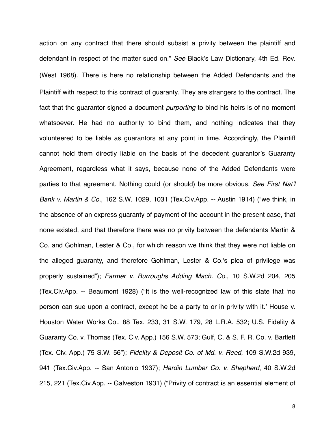action on any contract that there should subsist a privity between the plaintiff and defendant in respect of the matter sued on." *See* Black's Law Dictionary, 4th Ed. Rev. (West 1968). There is here no relationship between the Added Defendants and the Plaintiff with respect to this contract of guaranty. They are strangers to the contract. The fact that the guarantor signed a document *purporting* to bind his heirs is of no moment whatsoever. He had no authority to bind them, and nothing indicates that they volunteered to be liable as guarantors at any point in time. Accordingly, the Plaintiff cannot hold them directly liable on the basis of the decedent guarantor's Guaranty Agreement, regardless what it says, because none of the Added Defendants were parties to that agreement. Nothing could (or should) be more obvious. *See First Nat*'*l Bank v. Martin & Co.*, 162 S.W. 1029, 1031 (Tex.Civ.App. -- Austin 1914) ("we think, in the absence of an express guaranty of payment of the account in the present case, that none existed, and that therefore there was no privity between the defendants Martin & Co. and Gohlman, Lester & Co., for which reason we think that they were not liable on the alleged guaranty, and therefore Gohlman, Lester & Co.'s plea of privilege was properly sustained"); *Farmer v. Burroughs Adding Mach. Co.*, 10 S.W.2d 204, 205 (Tex.Civ.App. -- Beaumont 1928) ("It is the well-recognized law of this state that ʻno person can sue upon a contract, except he be a party to or in privity with it.' [House v.](https://www.lexis.com/research/buttonTFLink?_m=51140d4c238ce9f9cbd962bddb7939c9&_xfercite=%3ccite%20cc%3d%22USA%22%3e%3c%21%5bCDATA%5b10%20S.W.2d%20204%5d%5d%3e%3c%2fcite%3e&_butType=3&_butStat=2&_butNum=3&_butInline=1&_butinfo=%3ccite%20cc%3d%22USA%22%3e%3c%21%5bCDATA%5b88%20Tex.%20233%5d%5d%3e%3c%2fcite%3e&_fmtstr=FULL&docnum=13&_startdoc=1&wchp=dGLbVtz-zSkAA&_md5=737c4e0940b82b4171d9446b1d0b29e7) [Houston Water Works Co., 88 Tex. 233, 31 S.W. 179, 28 L.R.A. 532](https://www.lexis.com/research/buttonTFLink?_m=51140d4c238ce9f9cbd962bddb7939c9&_xfercite=%3ccite%20cc%3d%22USA%22%3e%3c%21%5bCDATA%5b10%20S.W.2d%20204%5d%5d%3e%3c%2fcite%3e&_butType=3&_butStat=2&_butNum=3&_butInline=1&_butinfo=%3ccite%20cc%3d%22USA%22%3e%3c%21%5bCDATA%5b88%20Tex.%20233%5d%5d%3e%3c%2fcite%3e&_fmtstr=FULL&docnum=13&_startdoc=1&wchp=dGLbVtz-zSkAA&_md5=737c4e0940b82b4171d9446b1d0b29e7); [U.S. Fidelity &](https://www.lexis.com/research/buttonTFLink?_m=51140d4c238ce9f9cbd962bddb7939c9&_xfercite=%3ccite%20cc%3d%22USA%22%3e%3c%21%5bCDATA%5b10%20S.W.2d%20204%5d%5d%3e%3c%2fcite%3e&_butType=3&_butStat=2&_butNum=4&_butInline=1&_butinfo=%3ccite%20cc%3d%22USA%22%3e%3c%21%5bCDATA%5b156%20S.W.%20573%5d%5d%3e%3c%2fcite%3e&_fmtstr=FULL&docnum=13&_startdoc=1&wchp=dGLbVtz-zSkAA&_md5=7724674cfe24f85ed688e72e584c35bb) [Guaranty Co. v. Thomas \(Tex. Civ. App.\) 156 S.W. 573](https://www.lexis.com/research/buttonTFLink?_m=51140d4c238ce9f9cbd962bddb7939c9&_xfercite=%3ccite%20cc%3d%22USA%22%3e%3c%21%5bCDATA%5b10%20S.W.2d%20204%5d%5d%3e%3c%2fcite%3e&_butType=3&_butStat=2&_butNum=4&_butInline=1&_butinfo=%3ccite%20cc%3d%22USA%22%3e%3c%21%5bCDATA%5b156%20S.W.%20573%5d%5d%3e%3c%2fcite%3e&_fmtstr=FULL&docnum=13&_startdoc=1&wchp=dGLbVtz-zSkAA&_md5=7724674cfe24f85ed688e72e584c35bb); [Gulf, C. & S. F. R. Co. v. Bartlett](https://www.lexis.com/research/buttonTFLink?_m=51140d4c238ce9f9cbd962bddb7939c9&_xfercite=%3ccite%20cc%3d%22USA%22%3e%3c%21%5bCDATA%5b10%20S.W.2d%20204%5d%5d%3e%3c%2fcite%3e&_butType=3&_butStat=2&_butNum=5&_butInline=1&_butinfo=%3ccite%20cc%3d%22USA%22%3e%3c%21%5bCDATA%5b75%20S.W.%2056%5d%5d%3e%3c%2fcite%3e&_fmtstr=FULL&docnum=13&_startdoc=1&wchp=dGLbVtz-zSkAA&_md5=0546d9b12fa1c392af901c8278c60206) [\(Tex. Civ. App.\) 75 S.W. 56"](https://www.lexis.com/research/buttonTFLink?_m=51140d4c238ce9f9cbd962bddb7939c9&_xfercite=%3ccite%20cc%3d%22USA%22%3e%3c%21%5bCDATA%5b10%20S.W.2d%20204%5d%5d%3e%3c%2fcite%3e&_butType=3&_butStat=2&_butNum=5&_butInline=1&_butinfo=%3ccite%20cc%3d%22USA%22%3e%3c%21%5bCDATA%5b75%20S.W.%2056%5d%5d%3e%3c%2fcite%3e&_fmtstr=FULL&docnum=13&_startdoc=1&wchp=dGLbVtz-zSkAA&_md5=0546d9b12fa1c392af901c8278c60206)); *Fidelity & Deposit Co. of Md. v. Reed*, 109 S.W.2d 939, 941 (Tex.Civ.App. -- San Antonio 1937); *Hardin Lumber Co. v. Shepherd*, 40 S.W.2d 215, 221 (Tex.Civ.App. -- Galveston 1931) ("Privity of contract is an essential element of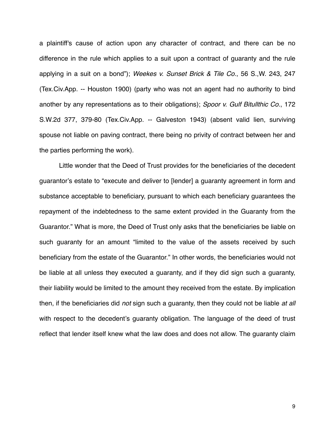a plaintiff's cause of action upon any character of contract, and there can be no difference in the rule which applies to a suit upon a contract of guaranty and the rule applying in a suit on a bond"); *Weekes v. Sunset Brick & Tile Co.*, 56 S.,W. 243, 247 (Tex.Civ.App. -- Houston 1900) (party who was not an agent had no authority to bind another by any representations as to their obligations); *Spoor v. Gulf Bitullthic Co.*, 172 S.W.2d 377, 379-80 (Tex.Civ.App. -- Galveston 1943) (absent valid lien, surviving spouse not liable on paving contract, there being no privity of contract between her and the parties performing the work).

Little wonder that the Deed of Trust provides for the beneficiaries of the decedent guarantor's estate to "execute and deliver to [lender] a guaranty agreement in form and substance acceptable to beneficiary, pursuant to which each beneficiary guarantees the repayment of the indebtedness to the same extent provided in the Guaranty from the Guarantor." What is more, the Deed of Trust only asks that the beneficiaries be liable on such guaranty for an amount "limited to the value of the assets received by such beneficiary from the estate of the Guarantor." In other words, the beneficiaries would not be liable at all unless they executed a guaranty, and if they did sign such a guaranty, their liability would be limited to the amount they received from the estate. By implication then, if the beneficiaries did *not* sign such a guaranty, then they could not be liable *at all* with respect to the decedent's guaranty obligation. The language of the deed of trust reflect that lender itself knew what the law does and does not allow. The guaranty claim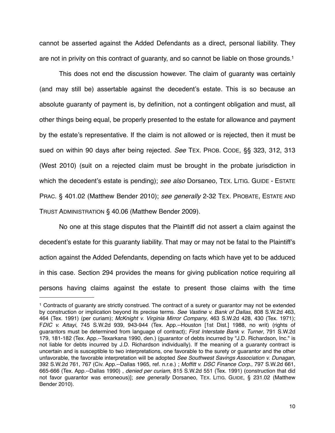cannot be asserted against the Added Defendants as a direct, personal liability. They are not in privity on this contract of guaranty, and so cannot be liable on those grounds[.1](#page-9-0)

This does not end the discussion however. The claim of guaranty was certainly (and may still be) assertable against the decedent's estate. This is so because an absolute guaranty of payment is, by definition, not a contingent obligation and must, all other things being equal, be properly presented to the estate for allowance and payment by the estate's representative. If the claim is not allowed or is rejected, then it must be sued on within 90 days after being rejected. *See* TEX. PROB. CODE, §§ 323, 312, 313 (West 2010) (suit on a rejected claim must be brought in the probate jurisdiction in which the decedent's estate is pending); *see also* Dorsaneo, TEX. LITIG. GUIDE - ESTATE PRAC. § 401.02 (Matthew Bender 2010); *see generally* 2-32 TEX. PROBATE, ESTATE AND TRUST ADMINISTRATION § 40.06 (Matthew Bender 2009).

No one at this stage disputes that the Plaintiff did not assert a claim against the decedent's estate for this guaranty liability. That may or may not be fatal to the Plaintiff's action against the Added Defendants, depending on facts which have yet to be adduced in this case. Section 294 provides the means for giving publication notice requiring all persons having claims against the estate to present those claims with the time

<span id="page-9-0"></span><sup>1</sup> Contracts of guaranty are strictly construed. The contract of a surety or guarantor may not be extended by construction or implication beyond its precise terms. *See Vastine v. Bank of Dallas*, 808 S.W.2d 463, 464 (Tex. 1991) (per curiam); *McKnight v. Virginia Mirror Company*, 463 S.W.2d 428, 430 (Tex. 1971); F*DIC v. Attayi*, 745 S.W.2d 939, 943-944 (Tex. App.--Houston [1st Dist.] 1988, no writ) (rights of guarantors must be determined from language of contract); *First Interstate Bank v. Turner*, 791 S.W.2d 179, 181-182 (Tex. App.--Texarkana 1990, den.) (guarantor of debts incurred by "J.D. Richardson, Inc." is not liable for debts incurred by J.D. Richardson individually). If the meaning of a guaranty contract is uncertain and is susceptible to two interpretations, one favorable to the surety or guarantor and the other unfavorable, the favorable interpretation will be adopted *See Southwest Savings Association v. Dunagan*, 392 S.W.2d 761, 767 (Civ. App.--Dallas 1965, ref. n.r.e.) ; *Moffitt v. DSC Finance Corp*., 797 S.W.2d 661, 665-666 (Tex. App.--Dallas 1990) , *denied per curiam*, 815 S.W.2d 551 (Tex. 1991) (construction that did not favor guarantor was erroneous)]; *see generally* Dorsaneo, TEX. LITIG. GUIDE, § 231.02 (Matthew Bender 2010).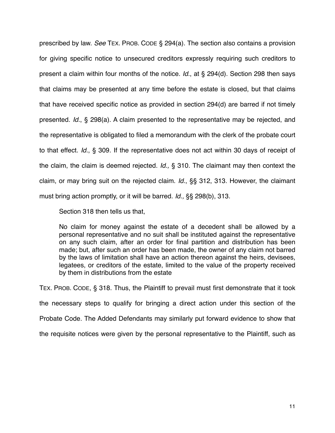prescribed by law. *See* TEX. PROB. CODE § 294(a). The section also contains a provision for giving specific notice to unsecured creditors expressly requiring such creditors to present a claim within four months of the notice. *Id.*, at § 294(d). Section 298 then says that claims may be presented at any time before the estate is closed, but that claims that have received specific notice as provided in section 294(d) are barred if not timely presented. *Id.*, § 298(a). A claim presented to the representative may be rejected, and the representative is obligated to filed a memorandum with the clerk of the probate court to that effect. *Id.*, § 309. If the representative does not act within 30 days of receipt of the claim, the claim is deemed rejected. *Id.,* § 310. The claimant may then context the claim, or may bring suit on the rejected claim. *Id.*, §§ 312, 313. However, the claimant must bring action promptly, or it will be barred. *Id.,* §§ 298(b), 313.

Section 318 then tells us that,

No claim for money against the estate of a decedent shall be allowed by a personal representative and no suit shall be instituted against the representative on any such claim, after an order for final partition and distribution has been made; but, after such an order has been made, the owner of any claim not barred by the laws of limitation shall have an action thereon against the heirs, devisees, legatees, or creditors of the estate, limited to the value of the property received by them in distributions from the estate

TEX. PROB. CODE, § 318. Thus, the Plaintiff to prevail must first demonstrate that it took the necessary steps to qualify for bringing a direct action under this section of the Probate Code. The Added Defendants may similarly put forward evidence to show that the requisite notices were given by the personal representative to the Plaintiff, such as